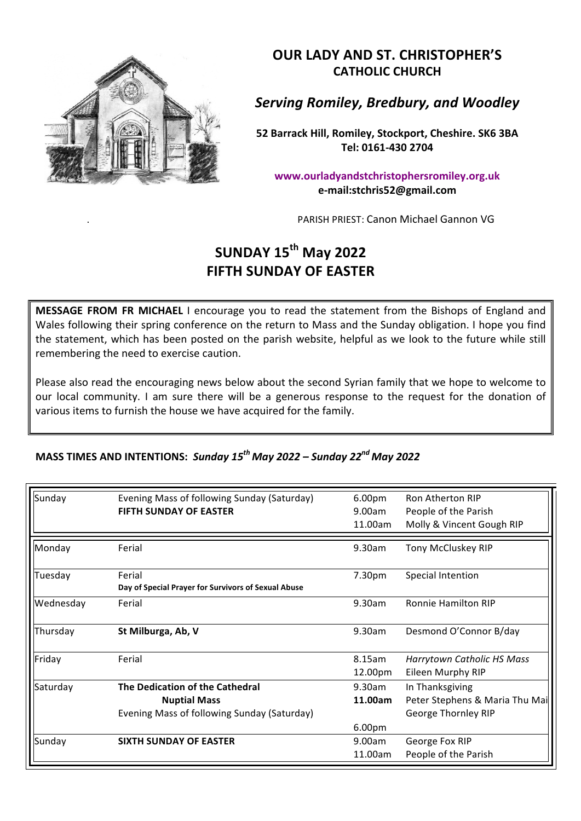

**OUR LADY AND ST. CHRISTOPHER'S CATHOLIC CHURCH**

*Serving Romiley, Bredbury, and Woodley*

**52 Barrack Hill, Romiley, Stockport, Cheshire. SK6 3BA Tel: 0161-430 2704**

**www.ourladyandstchristophersromiley.org.uk e-mail:stchris52@gmail.com**

PARISH PRIEST: Canon Michael Gannon VG

## **SUNDAY 15th May 2022 FIFTH SUNDAY OF EASTER**

**MESSAGE FROM FR MICHAEL** I encourage you to read the statement from the Bishops of England and Wales following their spring conference on the return to Mass and the Sunday obligation. I hope you find the statement, which has been posted on the parish website, helpful as we look to the future while still remembering the need to exercise caution.

Please also read the encouraging news below about the second Syrian family that we hope to welcome to our local community. I am sure there will be a generous response to the request for the donation of various items to furnish the house we have acquired for the family.

## **MASS TIMES AND INTENTIONS: Sunday 15<sup>th</sup> May 2022 – Sunday 22<sup>nd</sup> May 2022**

| Sunday    | Evening Mass of following Sunday (Saturday)         | 6.00 <sub>pm</sub> | Ron Atherton RIP               |
|-----------|-----------------------------------------------------|--------------------|--------------------------------|
|           | <b>FIFTH SUNDAY OF EASTER</b>                       | 9.00am             | People of the Parish           |
|           |                                                     | 11.00am            | Molly & Vincent Gough RIP      |
| Monday    | Ferial                                              | 9.30am             | Tony McCluskey RIP             |
| Tuesday   | Ferial                                              | 7.30pm             | Special Intention              |
|           | Day of Special Prayer for Survivors of Sexual Abuse |                    |                                |
| Wednesday | Ferial                                              | 9.30am             | <b>Ronnie Hamilton RIP</b>     |
| Thursday  | St Milburga, Ab, V                                  | 9.30am             | Desmond O'Connor B/day         |
| Friday    | Ferial                                              | 8.15am             | Harrytown Catholic HS Mass     |
|           |                                                     | 12.00pm            | Eileen Murphy RIP              |
| Saturday  | The Dedication of the Cathedral                     | 9.30am             | In Thanksgiving                |
|           | <b>Nuptial Mass</b>                                 | 11.00am            | Peter Stephens & Maria Thu Mai |
|           | Evening Mass of following Sunday (Saturday)         |                    | George Thornley RIP            |
|           |                                                     | 6.00pm             |                                |
| Sunday    | <b>SIXTH SUNDAY OF EASTER</b>                       | 9.00am             | George Fox RIP                 |
|           |                                                     | 11.00am            | People of the Parish           |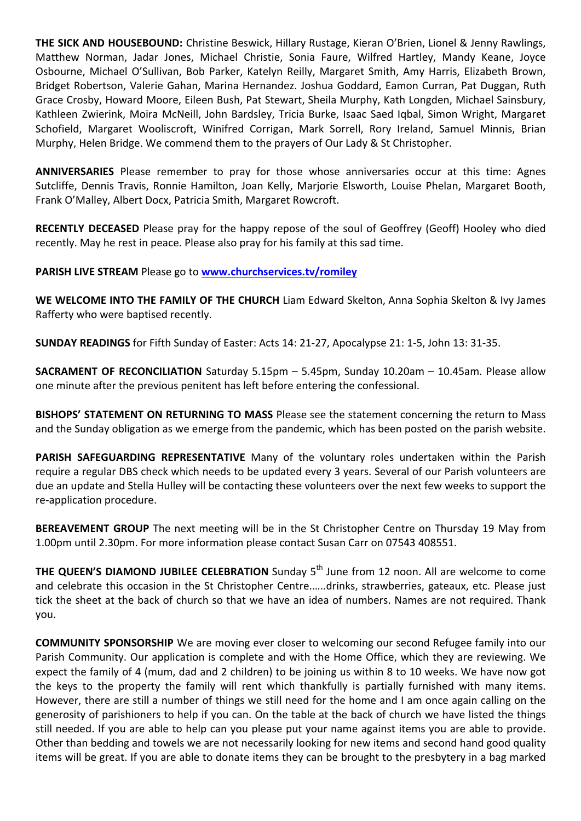**THE SICK AND HOUSEBOUND:** Christine Beswick, Hillary Rustage, Kieran O'Brien, Lionel & Jenny Rawlings, Matthew Norman, Jadar Jones, Michael Christie, Sonia Faure, Wilfred Hartley, Mandy Keane, Joyce Osbourne, Michael O'Sullivan, Bob Parker, Katelyn Reilly, Margaret Smith, Amy Harris, Elizabeth Brown, Bridget Robertson, Valerie Gahan, Marina Hernandez. Joshua Goddard, Eamon Curran, Pat Duggan, Ruth Grace Crosby, Howard Moore, Eileen Bush, Pat Stewart, Sheila Murphy, Kath Longden, Michael Sainsbury, Kathleen Zwierink, Moira McNeill, John Bardsley, Tricia Burke, Isaac Saed Iqbal, Simon Wright, Margaret Schofield, Margaret Wooliscroft, Winifred Corrigan, Mark Sorrell, Rory Ireland, Samuel Minnis, Brian Murphy, Helen Bridge. We commend them to the prayers of Our Lady & St Christopher.

**ANNIVERSARIES** Please remember to pray for those whose anniversaries occur at this time: Agnes Sutcliffe, Dennis Travis, Ronnie Hamilton, Joan Kelly, Marjorie Elsworth, Louise Phelan, Margaret Booth, Frank O'Malley, Albert Docx, Patricia Smith, Margaret Rowcroft.

**RECENTLY DECEASED** Please pray for the happy repose of the soul of Geoffrey (Geoff) Hooley who died recently. May he rest in peace. Please also pray for his family at this sad time.

## **PARISH LIVE STREAM Please go to www.churchservices.tv/romiley**

**WE WELCOME INTO THE FAMILY OF THE CHURCH** Liam Edward Skelton, Anna Sophia Skelton & Ivy James Rafferty who were baptised recently.

**SUNDAY READINGS** for Fifth Sunday of Easter: Acts 14: 21-27, Apocalypse 21: 1-5, John 13: 31-35.

**SACRAMENT OF RECONCILIATION** Saturday 5.15pm - 5.45pm, Sunday 10.20am - 10.45am. Please allow one minute after the previous penitent has left before entering the confessional.

**BISHOPS' STATEMENT ON RETURNING TO MASS** Please see the statement concerning the return to Mass and the Sunday obligation as we emerge from the pandemic, which has been posted on the parish website.

**PARISH SAFEGUARDING REPRESENTATIVE** Many of the voluntary roles undertaken within the Parish require a regular DBS check which needs to be updated every 3 years. Several of our Parish volunteers are due an update and Stella Hulley will be contacting these volunteers over the next few weeks to support the re-application procedure.

**BEREAVEMENT GROUP** The next meeting will be in the St Christopher Centre on Thursday 19 May from 1.00pm until 2.30pm. For more information please contact Susan Carr on 07543 408551.

**THE QUEEN'S DIAMOND JUBILEE CELEBRATION** Sunday 5<sup>th</sup> June from 12 noon. All are welcome to come and celebrate this occasion in the St Christopher Centre......drinks, strawberries, gateaux, etc. Please just tick the sheet at the back of church so that we have an idea of numbers. Names are not required. Thank you.

**COMMUNITY SPONSORSHIP** We are moving ever closer to welcoming our second Refugee family into our Parish Community. Our application is complete and with the Home Office, which they are reviewing. We expect the family of 4 (mum, dad and 2 children) to be joining us within 8 to 10 weeks. We have now got the keys to the property the family will rent which thankfully is partially furnished with many items. However, there are still a number of things we still need for the home and I am once again calling on the generosity of parishioners to help if you can. On the table at the back of church we have listed the things still needed. If you are able to help can you please put your name against items you are able to provide. Other than bedding and towels we are not necessarily looking for new items and second hand good quality items will be great. If you are able to donate items they can be brought to the presbytery in a bag marked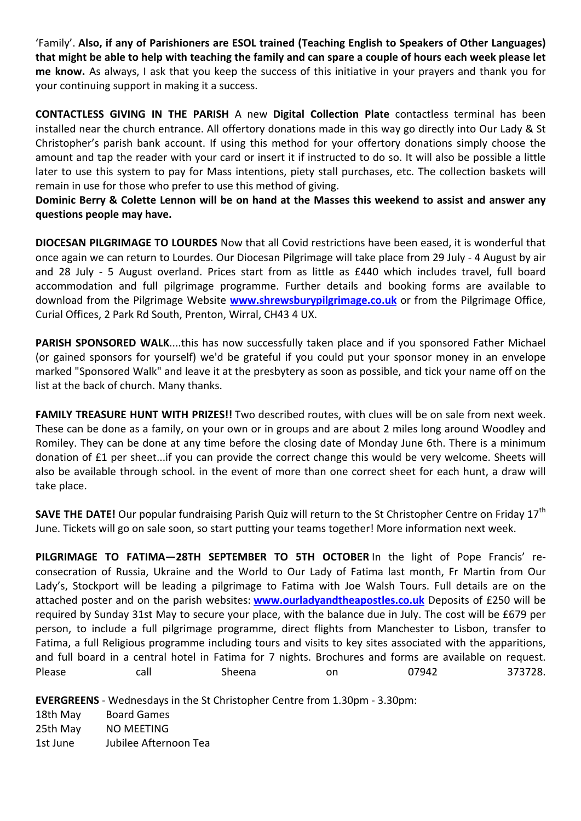'Family'. Also, if any of Parishioners are ESOL trained (Teaching English to Speakers of Other Languages) that might be able to help with teaching the family and can spare a couple of hours each week please let **me know.** As always, I ask that you keep the success of this initiative in your prayers and thank you for your continuing support in making it a success.

**CONTACTLESS GIVING IN THE PARISH** A new **Digital Collection Plate** contactless terminal has been installed near the church entrance. All offertory donations made in this way go directly into Our Lady & St Christopher's parish bank account. If using this method for your offertory donations simply choose the amount and tap the reader with your card or insert it if instructed to do so. It will also be possible a little later to use this system to pay for Mass intentions, piety stall purchases, etc. The collection baskets will remain in use for those who prefer to use this method of giving.

**Dominic Berry & Colette Lennon will be on hand at the Masses this weekend to assist and answer any questions people may have.**

**DIOCESAN PILGRIMAGE TO LOURDES** Now that all Covid restrictions have been eased, it is wonderful that once again we can return to Lourdes. Our Diocesan Pilgrimage will take place from 29 July - 4 August by air and 28 July - 5 August overland. Prices start from as little as £440 which includes travel, full board accommodation and full pilgrimage programme. Further details and booking forms are available to download from the Pilgrimage Website **www.shrewsburypilgrimage.co.uk** or from the Pilgrimage Office, Curial Offices, 2 Park Rd South, Prenton, Wirral, CH43 4 UX.

**PARISH SPONSORED WALK....this has now successfully taken place and if you sponsored Father Michael** (or gained sponsors for yourself) we'd be grateful if you could put your sponsor money in an envelope marked "Sponsored Walk" and leave it at the presbytery as soon as possible, and tick your name off on the list at the back of church. Many thanks.

FAMILY TREASURE HUNT WITH PRIZES!! Two described routes, with clues will be on sale from next week. These can be done as a family, on your own or in groups and are about 2 miles long around Woodley and Romiley. They can be done at any time before the closing date of Monday June 6th. There is a minimum donation of £1 per sheet...if you can provide the correct change this would be very welcome. Sheets will also be available through school. in the event of more than one correct sheet for each hunt, a draw will take place.

**SAVE THE DATE!** Our popular fundraising Parish Quiz will return to the St Christopher Centre on Friday 17<sup>th</sup> June. Tickets will go on sale soon, so start putting your teams together! More information next week.

**PILGRIMAGE TO FATIMA-28TH SEPTEMBER TO 5TH OCTOBER** In the light of Pope Francis' reconsecration of Russia, Ukraine and the World to Our Lady of Fatima last month, Fr Martin from Our Lady's, Stockport will be leading a pilgrimage to Fatima with Joe Walsh Tours. Full details are on the attached poster and on the parish websites: **www.ourladyandtheapostles.co.uk** Deposits of £250 will be required by Sunday 31st May to secure your place, with the balance due in July. The cost will be £679 per person, to include a full pilgrimage programme, direct flights from Manchester to Lisbon, transfer to Fatima, a full Religious programme including tours and visits to key sites associated with the apparitions, and full board in a central hotel in Fatima for 7 nights. Brochures and forms are available on request. Please **call** Call Sheena on 07942 373728.

**EVERGREENS** - Wednesdays in the St Christopher Centre from 1.30pm - 3.30pm:

18th May Board Games 25th May NO MEETING 1st June Jubilee Afternoon Tea